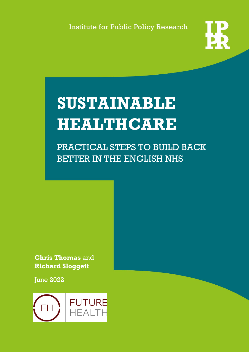**Institute for Public Policy Research** 



# **SUSTAINABLE HEALTHCARE**

PRACTICAL STEPS TO BUILD BACK BETTER IN THE ENGLISH NHS

**Chris Thomas** and **Richard Sloggett**

**June 2022** 

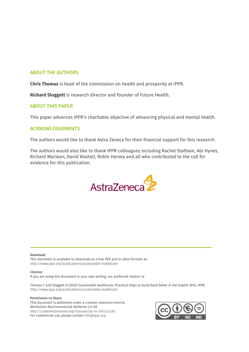#### ABOUT THE AUTHORS

**Chris Thomas** is head of the commission on health and prosperity at IPPR.

**Richard Sloggett** is research director and founder of Future Health.

#### ABOUT THIS PAPER

This paper advances IPPR's charitable objective of advancing physical and mental health.

#### ACKNOWLEDGEMENTS

The authors would like to thank Astra Zeneca for their financial support for this research.

The authors would also like to thank IPPR colleagues including Rachel Statham, Abi Hynes, Richard Maclean, David Wastell, Robin Harvey and all who contributed to the call for evidence for this publication.



#### Download

This document is available to download as a free PDF and in other formats at: <http://www.ippr.org/publications/sustainable-healthcare>

#### Citation

If you are using this document in your own writing, our preferred citation is:

Thomas C and Sloggett R (2022) *Sustainable healthcare: Practical steps to build back better in the English NHS*, IPPR. <http://www.ippr.org/publications/sustainable-healthcare>

#### Permission to share

This document is published under a creative commons licence: Attribution-NonCommercial-NoDerivs 2.0 UK <http://creativecommons.org/licenses/by-nc-nd/2.0/uk/> For commercial use, please contact [info@ippr.org](mailto:info@ippr.org) 

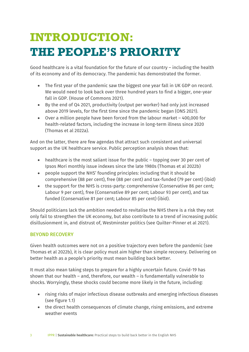### **INTRODUCTION: THE PEOPLE'S PRIORITY**

Good healthcare is a vital foundation for the future of our country – including the health of its economy and of its democracy. The pandemic has demonstrated the former.

- The first year of the pandemic saw the biggest one year fall in UK GDP on record. We would need to look back over three hundred years to find a bigger, one-year fall in GDP. (House of Commons 2021).
- By the end of Q4 2021, productivity (output per worker) had only just increased above 2019 levels, for the first time since the pandemic began (ONS 2021).
- Over a million people have been forced from the labour market 400,000 for health-related factors, including the increase in long-term illness since 2020 (Thomas et al 2022a).

And on the latter, there are few agendas that attract such consistent and universal support as the UK healthcare service. Public perception analysis shows that:

- healthcare is the most saliant issue for the public topping over 30 per cent of Ipsos Mori monthly issue indexes since the late 1980s (Thomas et al 2022b)
- people support the NHS' founding principles: including that it should be comprehensive (88 per cent), free (88 per cent) and tax-funded (79 per cent) (ibid)
- the support for the NHS is cross-party: comprehensive (Conservative 86 per cent; Labour 9 per cent), free (Conservative 89 per cent; Labour 93 per cent), and tax funded (Conservative 81 per cent; Labour 85 per cent) (ibid).

Should politicians lack the ambition needed to revitalise the NHS there is a risk they not only fail to strengthen the UK economy, but also contribute to a trend of increasing public disillusionment in, and distrust of, Westminster politics (see Quilter-Pinner et al 2021).

#### BEYOND RECOVERY

Given health outcomes were not on a positive trajectory even before the pandemic (see Thomas et al 2022b), it is clear policy must aim higher than simple recovery. Delivering on better health as a people's priority must mean building back better.

It must also mean taking steps to prepare for a highly uncertain future. Covid-19 has shown that our health – and, therefore, our wealth – is fundamentally vulnerable to shocks. Worryingly, these shocks could become more likely in the future, including:

- rising risks of major infectious disease outbreaks and emerging infectious diseases (see figure 1.1)
- the direct health consequences of climate change, rising emissions, and extreme weather events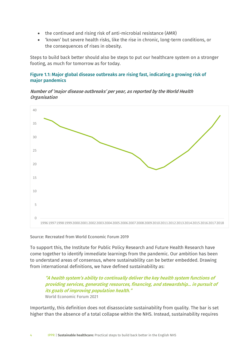- the continued and rising risk of anti-microbial resistance (AMR)
- 'known' but severe health risks, like the rise in chronic, long-term conditions, or the consequences of rises in obesity.

Steps to build back better should also be steps to put our healthcare system on a stronger footing, as much for tomorrow as for today.

#### Figure 1.1: Major global disease outbreaks are rising fast, indicating a growing risk of major pandemics

#### Number of 'major disease outbreaks' per year, as reported by the World Health **Organisation**



Source: Recreated from World Economic Forum 2019

To support this, the Institute for Public Policy Research and Future Health Research have come together to identify immediate learnings from the pandemic. Our ambition has been to understand areas of consensus, where sustainability can be better embedded. Drawing from international definitions, we have defined sustainability as:

#### "A health system's ability to continually deliver the key health system functions of providing services, generating resources, financing, and stewardship… in pursuit of its goals of improving population health." World Economic Forum 2021

Importantly, this definition does not disassociate sustainability from quality. The bar is set higher than the absence of a total collapse within the NHS. Instead, sustainability requires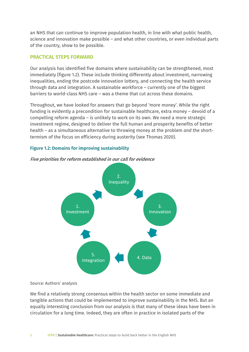an NHS that can continue to improve population health, in line with what public health, science and innovation make possible – and what other countries, or even individual parts of the country, show to be possible.

#### PRACTICAL STEPS FORWARD

Our analysis has identified five domains where sustainability can be strengthened, most immediately (figure 1.2). These include thinking differently about investment, narrowing inequalities, ending the postcode innovation lottery, and connecting the health service through data and integration. A sustainable workforce – currently one of the biggest barriers to world-class NHS care – was a theme that cut across these domains.

Throughout, we have looked for answers that go beyond 'more money'. While the right funding is evidently a precondition for sustainable healthcare, extra money – devoid of a compelling reform agenda – is unlikely to work on its own. We need a more strategic investment regime, designed to deliver the full human and prosperity benefits of better health – as a simultaneous alternative to throwing money at the problem *and* the shorttermism of the focus on efficiency during austerity (see Thomas 2020).

#### Figure 1.2: Domains for improving sustainability



Five priorities for reform established in our call for evidence

#### Source: Authors' analysis

We find a relatively strong consensus within the health sector on some immediate and tangible actions that could be implemented to improve sustainability in the NHS. But an equally interesting conclusion from our analysis is that many of these ideas have been in circulation for a long time. Indeed, they are often in practice in isolated parts of the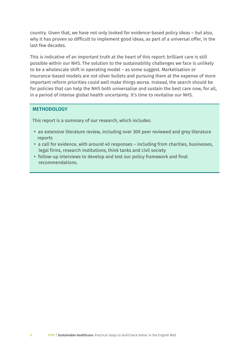country. Given that, we have not only looked for evidence-based policy ideas – but also, why it has proven so difficult to implement good ideas, as part of a universal offer, in the last few decades.

This is indicative of an important truth at the heart of this report: brilliant care is still possible within our NHS. The solution to the sustainability challenges we face is unlikely to be a wholescale shift in operating model – as some suggest. Marketisation or insurance-based models are not silver bullets and pursuing them at the expense of more important reform priorities could well make things worse. Instead, the search should be for policies that can help the NHS both universalise and sustain the best care now, for all, in a period of intense global health uncertainty. It's time to revitalise our NHS.

#### **METHODOLOGY**

This report is a summary of our research, which includes:

- an extensive literature review, including over 300 peer reviewed and grey literature reports
- a call for evidence, with around 40 responses including from charities, businesses, legal firms, research institutions, think tanks and civil society
- follow-up interviews to develop and test our policy framework and final recommendations.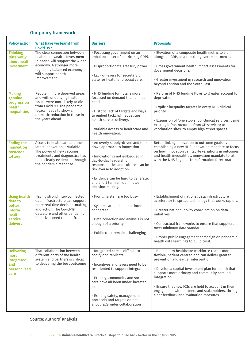#### Our policy framework

| <b>Policy action</b>                                                                       | What have we learnt from<br>Covid-19?                                                                                                                                                                        | <b>Barriers</b>                                                                                                                                                                                                                                                                                                       | <b>Proposals</b>                                                                                                                                                                                                                                                                                                                                                                                                         |
|--------------------------------------------------------------------------------------------|--------------------------------------------------------------------------------------------------------------------------------------------------------------------------------------------------------------|-----------------------------------------------------------------------------------------------------------------------------------------------------------------------------------------------------------------------------------------------------------------------------------------------------------------------|--------------------------------------------------------------------------------------------------------------------------------------------------------------------------------------------------------------------------------------------------------------------------------------------------------------------------------------------------------------------------------------------------------------------------|
| <b>Thinking</b><br>differently<br>about health<br>investment                               | The clear connection between<br>health and wealth. Investment<br>in health will support the wider<br>economy. A stronger more<br>regionally balanced economy<br>will support health<br>improvement.          | - Focussing government on an<br>unbalanced set of metrics (eg GDP).<br>- Disproportionate Treasury power.<br>- Lack of levers for secretary of<br>state for health and social care.                                                                                                                                   | - Elevation of a composite health metric to sit<br>alongside GDP, as a top-tier government metric.<br>- Cross government health impact assessments for<br>government decisions.<br>- Greater investment in research and innovation<br>beyond London and the South East.                                                                                                                                                  |
| <b>Making</b><br>genuine<br>progress on<br>health<br><b>inequalities</b>                   | People in more deprived areas<br>and with underlying health<br>issues were more likely to die<br>from Covid-19. The pandemic<br>legacy needs to show a<br>dramatic reduction in these in<br>the years ahead. | - NHS funding formula is more<br>focussed on demand than unmet<br>need.<br>- Historic lack of targets and ways<br>to embed tackling inequalities in<br>health service delivery.<br>- Variable access to healthcare and<br>health innovation.                                                                          | - Reform of NHS funding flows to greater account for<br>deprivation.<br>- Explicit inequality targets in every NHS clinical<br>priority.<br>- Expansion of 'one stop shop' clinical services, using<br>existing infrastructure - from GP services; to<br>vaccination sites; to empty high street spaces.                                                                                                                 |
| <b>Ending the</b><br>innovation<br>postcode<br>lottery                                     | Access to healthcare and the<br>latest innovation is variable.<br>The power of new vaccines,<br>treatments and diagnostics has<br>been clearly evidenced through<br>the pandemic response.                   | - An overly supply-driven and top-<br>down approach to innovation.<br>- Innovation is not embedded in<br>day-to-day leadership<br>responsibilities and cultures can be<br>risk averse to adoption.<br>- Evidence can be hard to generate,<br>and short termism dominates<br>decision-making.                          | Better linking innovation to outcome goals by<br>establishing a new NHS innovation mandate to focus<br>on how innovation can tackle variations in outcomes<br>and health inequalities. innovation mandate to sit<br>with the NHS England Transformation Directorate.                                                                                                                                                     |
| <b>Using health</b><br>data to<br>better<br><i>inform</i><br>health<br>service<br>delivery | Having strong inter-connected<br>data infrastructure can support<br>more real time decision-making<br>and action. The Covid-19<br>datastore and other pandemic<br>initiatives need to built from             | - Frontline staff are too busy<br>- Systems are old and not inter-<br>connected<br>- Data collection and analysis is not<br>enough of a priority<br>- Public trust remains challenging                                                                                                                                | - Establishment of national data infrastructure<br>accelerator to spread technology that works rapidly.<br>- Greater national policy coordination on data<br>initiatives.<br>- Contractual frameworks to ensure that suppliers<br>meet minimum data standards.<br>- Proper public engagement campaign on pandemic<br>health data learnings to build trust.                                                               |
| <b>Delivering</b><br>more<br>integrated<br>and<br>personalised<br>care                     | That collaboration between<br>different parts of the health<br>system and partners is critical<br>to delivering the best outcomes                                                                            | - Integrated care is difficult to<br>codify and replicate<br>- Incentives and levers need to be<br>re-oriented to support integration<br>- Primary, community and social<br>care have all been under-invested<br>in<br>- Existing safety, management<br>protocols and targets do not<br>encourage wider collaboration | - Build a new healthcare workforce that is more<br>flexible, patient centred and can deliver greater<br>prevention and earlier intervention<br>- Develop a capital investment plan for health that<br>supports more primary and community care led<br>integration<br>- Ensure that new ICSs are held to account in their<br>engagement with partners and stakeholders, through<br>clear feedback and evaluation measures |

#### Source: Authors' analysis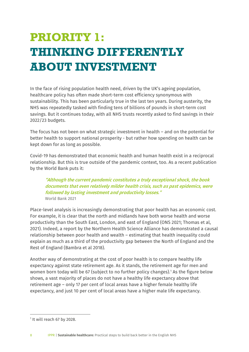## **PRIORITY 1: THINKING DIFFERENTLY ABOUT INVESTMENT**

In the face of rising population health need, driven by the UK's ageing population, healthcare policy has often made short-term cost efficiency synonymous with sustainability. This has been particularly true in the last ten years. During austerity, the NHS was repeatedly tasked with finding tens of billions of pounds in short-term cost savings. But it continues today, with all NHS trusts recently asked to find savings in their 2022/23 budgets.

The focus has not been on what strategic investment in health – and on the potential for better health to support national prosperity - but rather how spending on health can be kept down for as long as possible.

Covid-19 has demonstrated that economic health and human health exist in a reciprocal relationship. But this is true outside of the pandemic context, too. As a recent publication by the World Bank puts it:

"Although the current pandemic constitutes a truly exceptional shock, the book documents that even relatively milder health crisis, such as past epidemics, were followed by lasting investment and productivity losses." World Bank 2021

Place-level analysis is increasingly demonstrating that poor health has an economic cost. For example, it is clear that the north and midlands have both worse health and worse productivity than the South East, London, and east of England (ONS 2021; Thomas et al, 2021). Indeed, a report by the Northern Health Science Alliance has demonstrated a causal relationship between poor health and wealth – estimating that health inequality could explain as much as a third of the productivity gap between the North of England and the Rest of England (Bambra et al 2018).

Another way of demonstrating at the cost of poor health is to compare healthy life expectancy against state retirement age. As it stands, the retirement age for men and women born today will be 67 (subject to no further policy changes).<sup>1</sup> As the figure below shows, a vast majority of places do not have a healthy life expectancy above that retirement age – only 17 per cent of local areas have a higher female healthy life expectancy, and just 10 per cent of local areas have a higher male life expectancy.

<span id="page-7-0"></span><sup>&</sup>lt;sup>1</sup> It will reach 67 by 2028.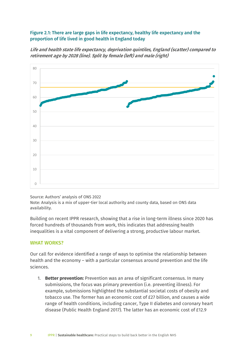#### Figure 2.1: There are large gaps in life expectancy, healthy life expectancy and the proportion of life lived in good health in England today

Life and health state life expectancy, deprivation quintiles, England (scatter) compared to retirement age by 2028 (line). Split by female (left) and male (right)



#### Source: Authors' analysis of ONS 2022

Note: Analysis is a mix of upper-tier local authority and county data, based on ONS data availability.

Building on recent IPPR research, showing that a rise in long-term illness since 2020 has forced hundreds of thousands from work, this indicates that addressing health inequalities is a vital component of delivering a strong, productive labour market.

#### WHAT WORKS?

Our call for evidence identified a range of ways to optimise the relationship between health and the economy – with a particular consensus around prevention and the life sciences.

1. **Better prevention:** Prevention was an area of significant consensus. In many submissions, the focus was primary prevention (i.e. preventing illness). For example, submissions highlighted the substantial societal costs of obesity and tobacco use. The former has an economic cost of £27 billion, and causes a wide range of health conditions, including cancer, Type II diabetes and coronary heart disease (Public Health England 2017). The latter has an economic cost of £12.9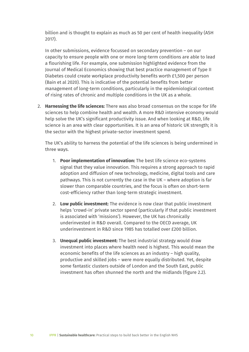billion and is thought to explain as much as 50 per cent of health inequality (ASH 2017).

In other submissions, evidence focussed on secondary prevention – on our capacity to ensure people with one or more long-term conditions are able to lead a flourishing life. For example, one submission highlighted evidence from the Journal of Medical Economics showing that best practice management of Type II Diabetes could create workplace productivity benefits worth £1,500 per person (Bain et al 2020). This is indicative of the potential benefits from better management of long-term conditions, particularly in the epidemiological context of rising rates of chronic and multiple conditions in the UK as a whole.

2. **Harnessing the life sciences:** There was also broad consensus on the scope for life sciences to help combine health and wealth. A more R&D intensive economy would help solve the UK's significant productivity issue. And when looking at R&D, life science is an area with clear opportunities. It is an area of historic UK strength; it is the sector with the highest private-sector investment spend.

The UK's ability to harness the potential of the life sciences is being undermined in three ways.

- 1. **Poor implementation of innovation:** The best life science eco-systems signal that they value innovation. This requires a strong approach to rapid adoption and diffusion of new technology, medicine, digital tools and care pathways. This is not currently the case in the UK – where adoption is far slower than comparable countries, and the focus is often on short-term cost-efficiency rather than long-term strategic investment.
- 2. **Low public investment:** The evidence is now clear that public investment helps 'crowd-in' private sector spend (particularly if that public investment is associated with 'missions'). However, the UK has chronically underinvested in R&D overall. Compared to the OECD average, UK underinvestment in R&D since 1985 has totalled over £200 billion.
- 3. **Unequal public investment:** The best industrial strategy would draw investment into places where health need is highest. This would mean the economic benefits of the life sciences as an industry – high quality, productive and skilled jobs – were more equally distributed. Yet, despite some fantastic clusters outside of London and the South East, public investment has often shunned the north and the midlands (figure 2.2).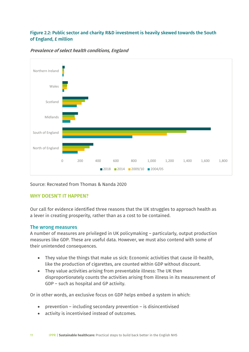#### Figure 2.2: Public sector and charity R&D investment is heavily skewed towards the South of England, £ million



#### Prevalence of select health conditions, England

Source: Recreated from Thomas & Nanda 2020

#### WHY DOESN'T IT HAPPEN?

Our call for evidence identified three reasons that the UK struggles to approach health as a lever in creating prosperity, rather than as a cost to be contained.

#### The wrong measures

A number of measures are privileged in UK policymaking – particularly, output production measures like GDP. These are useful data. However, we must also contend with some of their unintended consequences.

- They value the things that make us sick: Economic activities that cause ill-health, like the production of cigarettes, are counted within GDP without discount.
- They value activities arising from preventable illness: The UK then disproportionately counts the activities arising from illness in its measurement of GDP – such as hospital and GP activity.

Or in other words, an exclusive focus on GDP helps embed a system in which:

- prevention including secondary prevention is disincentivised
- activity is incentivised instead of outcomes.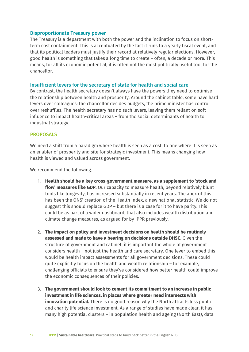#### Disproportionate Treasury power

The Treasury is a department with both the power and the inclination to focus on shortterm cost containment. This is accentuated by the fact it runs to a yearly fiscal event, and that its political leaders must justify their record at relatively regular elections. However, good health is something that takes a long time to create – often, a decade or more. This means, for all its economic potential, it is often not the most politically useful tool for the chancellor.

#### Insufficient levers for the secretary of state for health and social care

By contrast, the health secretary doesn't always have the powers they need to optimise the relationship between health and prosperity. Around the cabinet table, some have hard levers over colleagues: the chancellor decides budgets, the prime minister has control over reshuffles. The health secretary has no such levers, leaving them reliant on soft influence to impact health-critical areas – from the social determinants of health to industrial strategy.

#### PROPOSALS

We need a shift from a paradigm where health is seen as a cost, to one where it is seen as an enabler of prosperity and site for strategic investment. This means changing how health is viewed and valued across government.

We recommend the following.

- 1. **Health should be a key cross-government measure, as a supplement to 'stock and flow' measures like GDP.** Our capacity to measure health, beyond relatively blunt tools like longevity, has increased substantially in recent years. The apex of this has been the ONS' creation of the Health Index, a new national statistic. We do not suggest this should replace GDP – but there is a case for it to have parity. This could be as part of a wider dashboard, that also includes wealth distribution and climate change measures, as argued for by IPPR previously.
- 2. **The impact on policy and investment decisions on health should be routinely assessed and made to have a bearing on decisions outside DHSC**. Given the structure of government and cabinet, it is important the whole of government considers health – not just the health and care secretary. One lever to embed this would be health impact assessments for all government decisions. These could quite explicitly focus on the health and wealth relationship – for example, challenging officials to ensure they've considered how better health could improve the economic consequences of their policies.
- 3. **The government should look to cement its commitment to an increase in public investment in life sciences, in places where greater need intersects with innovation potential.** There is no good reason why the North attracts less public and charity life science investment. As a range of studies have made clear, it has many high potential clusters – in population health and ageing (North East), data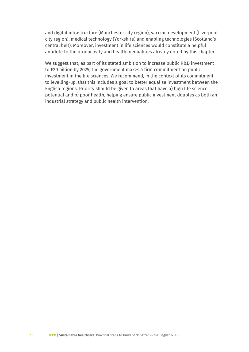and digital infrastructure (Manchester city region), vaccine development (Liverpool city region), medical technology (Yorkshire) and enabling technologies (Scotland's central belt). Moreover, investment in life sciences would constitute a helpful antidote to the productivity and health inequalities already noted by this chapter.

We suggest that, as part of its stated ambition to increase public R&D investment to £20 billion by 2025, the government makes a firm commitment on public investment in the life sciences. We recommend, in the context of its commitment to levelling-up, that this includes a goal to better equalise investment between the English regions. Priority should be given to areas that have a) high life science potential and b) poor health, helping ensure public investment doubles as both an industrial strategy and public health intervention.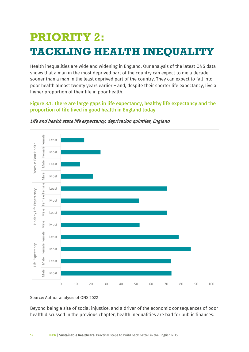### **PRIORITY 2: TACKLING HEALTH INEQUALITY**

Health inequalities are wide and widening in England. Our analysis of the latest ONS data shows that a man in the most deprived part of the country can expect to die a decade sooner than a man in the least deprived part of the country. They can expect to fall into poor health almost twenty years earlier – and, despite their shorter life expectancy, live a higher proportion of their life in poor health.

#### Figure 3.1: There are large gaps in life expectancy, healthy life expectancy and the proportion of life lived in good health in England today





Source: Author analysis of ONS 2022

Beyond being a site of social injustice, and a driver of the economic consequences of poor health discussed in the previous chapter, health inequalities are bad for public finances.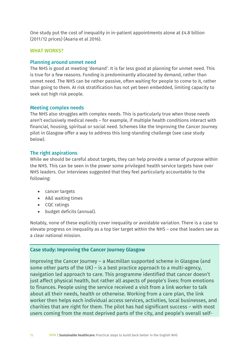One study put the cost of inequality in in-patient appointments alone at £4.8 billion (2011/12 prices) (Asaria et al 2016).

#### WHAT WORKS?

#### Planning around unmet need

The NHS is good at meeting 'demand'. It is far less good at planning for unmet need. This is true for a few reasons. Funding is predominantly allocated by demand, rather than unmet need. The NHS can be rather passive, often waiting for people to come to it, rather than going to them. AI risk stratification has not yet been embedded, limiting capacity to seek out high risk people.

#### Meeting complex needs

The NHS also struggles with complex needs. This is particularly true when those needs aren't exclusively medical needs – for example, if multiple health conditions interact with financial, housing, spiritual or social need. Schemes like the Improving the Cancer Journey pilot in Glasgow offer a way to address this long-standing challenge (see case study below).

#### The right aspirations

While we should be careful about targets, they can help provide a sense of purpose within the NHS. This can be seen in the power some privileged health service targets have over NHS leaders. Our interviews suggested that they feel particularly accountable to the following:

- cancer targets
- A&E waiting times
- CQC ratings
- budget deficits (annual).

Notably, none of these explicitly cover inequality or avoidable variation. There is a case to elevate progress on inequality as a top tier target within the NHS – one that leaders see as a clear national mission.

#### Case study: Improving the Cancer Journey Glasgow

Improving the Cancer Journey – a Macmillan supported scheme in Glasgow (and some other parts of the UK) – is a best practice approach to a multi-agency, navigation led approach to care. This programme identified that cancer doesn't just affect physical health, but rather all aspects of people's lives: from emotions to finances. People using the service received a visit from a link worker to talk about all their needs, health or otherwise. Working from a care plan, the link worker then helps each individual access services, activities, local businesses, and charities that are right for them. The pilot has had significant success – with most users coming from the most deprived parts of the city, and people's overall self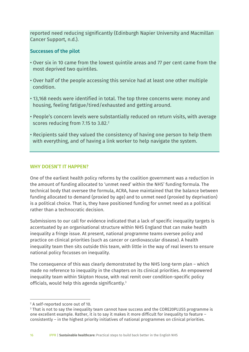reported need reducing significantly (Edinburgh Napier University and Macmillan Cancer Support, n.d.).

#### Successes of the pilot

- Over six in 10 came from the lowest quintile areas and 77 per cent came from the most deprived two quintiles.
- Over half of the people accessing this service had at least one other multiple condition.
- 13,168 needs were identified in total. The top three concerns were: money and housing, feeling fatigue/tired/exhausted and getting around.
- People's concern levels were substantially reduced on return visits, with average scores reducing from 7.15 to 3.82. [2](#page-15-0)
- Recipients said they valued the consistency of having one person to help them with everything, and of having a link worker to help navigate the system.

#### WHY DOESN'T IT HAPPEN?

One of the earliest health policy reforms by the coalition government was a reduction in the amount of funding allocated to 'unmet need' within the NHS' funding formula. The technical body that oversee the formula, ACRA, have maintained that the balance between funding allocated to demand (proxied by age) and to unmet need (proxied by deprivation) is a political choice. That is, they have positioned funding for unmet need as a political rather than a technocratic decision.

Submissions to our call for evidence indicated that a lack of specific inequality targets is accentuated by an organisational structure within NHS England that can make health inequality a fringe issue. At present, national programme teams oversee policy and practice on clinical priorities (such as cancer or cardiovascular disease). A health inequality team then sits outside this team, with little in the way of real levers to ensure national policy focusses on inequality.

The consequence of this was clearly demonstrated by the NHS long-term plan – which made no reference to inequality in the chapters on its clinical priorities. An empowered inequality team within Skipton House, with real remit over condition-specific policy officials, would help this agenda significantly.[3](#page-15-1)

<span id="page-15-1"></span><span id="page-15-0"></span> $^2$  A self-reported score out of 10.<br> $^3$  That is not to say the inequality team cannot have success and the CORE20PLUS5 programme is one excellent example. Rather, it is to say it makes it more difficult for inequality to feature – consistently – in the highest priority initiatives of national programmes on clinical priorities.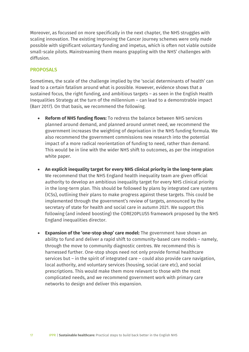Moreover, as focussed on more specifically in the next chapter, the NHS struggles with scaling innovation. The existing Improving the Cancer Journey schemes were only made possible with significant voluntary funding and impetus, which is often not viable outside small-scale pilots. Mainstreaming them means grappling with the NHS' challenges with diffusion.

#### **PROPOSALS**

Sometimes, the scale of the challenge implied by the 'social determinants of health' can lead to a certain fatalism around what is possible. However, evidence shows that a sustained focus, the right funding, and ambitious targets – as seen in the English Health Inequalities Strategy at the turn of the millennium – can lead to a demonstrable impact (Barr 2017). On that basis, we recommend the following.

- **Reform of NHS funding flows:** To redress the balance between NHS services planned around demand, and planned around unmet need, we recommend the government increases the weighting of deprivation in the NHS funding formula. We also recommend the government commissions new research into the potential impact of a more radical reorientation of funding to need, rather than demand. This would be in line with the wider NHS shift to outcomes, as per the integration white paper.
- **An explicit inequality target for every NHS clinical priority in the long-term plan:** We recommend that the NHS England health inequality team are given official authority to develop an ambitious inequality target for every NHS clinical priority in the long-term plan. This should be followed by plans by integrated care systems (ICSs), outlining their plans to make progress against these targets. This could be implemented through the government's review of targets, announced by the secretary of state for health and social care in autumn 2021. We support this following (and indeed boosting) the CORE20PLUS5 framework proposed by the NHS England inequalities director.
- **Expansion of the 'one-stop shop' care model:** The government have shown an ability to fund and deliver a rapid shift to community-based care models – namely, through the move to community diagnostic centres. We recommend this is harnessed further. One-stop shops need not only provide formal healthcare services but – in the spirit of integrated care – could also provide care navigation, local authority, and voluntary services (housing, social care etc), and social prescriptions. This would make them more relevant to those with the most complicated needs, and we recommend government work with primary care networks to design and deliver this expansion.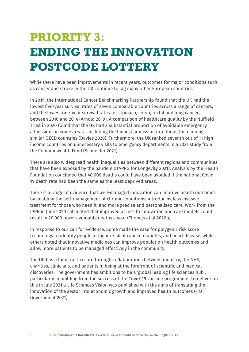## **PRIORITY 3: ENDING THE INNOVATION POSTCODE LOTTERY**

While there have been improvements in recent years, outcomes for major conditions such as cancer and stroke in the UK continue to lag many other European countries.

In 2019, the International Cancer Benchmarking Partnership found that the UK had the lowest five-year survival rates of seven comparable countries across a range of cancers, and the lowest one-year survival rates for stomach, colon, rectal and lung cancer, between 2010 and 2014 (Arnold 2019). A comparison of healthcare quality by the Nuffield Trust in 2020 found that the UK had a substantial proportion of avoidable emergency admissions in some areas – including the highest admission rate for asthma among similar OECD countries (Davies 2020). Furthermore, the UK ranked seventh out of 11 highincome countries on unnecessary visits to emergency departments in a 2021 study from the Commonwealth Fund (Schneider 2021).

There are also widespread health inequalities between different regions and communities that have been exposed by the pandemic (APPG for Longevity 2021). Analysis by the Health Foundation concluded that 40,000 deaths could have been avoided if the national Covid-19 death rate had been the same as the least deprived areas.

There is a range of evidence that well-managed innovation can improve health outcomes by enabling the self-management of chronic conditions; introducing less invasive treatment for those who need it; and more precise and personalised care. Work from the IPPR in June 2020 calculated that improved access to innovation and care models could result in 20,000 fewer avoidable deaths a year (Thomas et al 2020b).

In response to our call for evidence. Some made the case for polygenic risk score technology to identify people at higher risk of cancer, diabetes, and heart disease; while others noted that innovative medicines can improve population health outcomes and allow more patients to be managed effectively in the community.

The UK has a long track record through collaborations between industry, the NHS, charities, clinicians, and patients in being at the forefront of scientific and medical discoveries. The government has ambitions to be a 'global leading life sciences hub', particularly in building from the success of the Covid-19 vaccine programme. To deliver on this in July 2021 a Life Sciences Vision was published with the aims of translating the innovation of the sector into economic growth and improved health outcomes (HM Government 2021).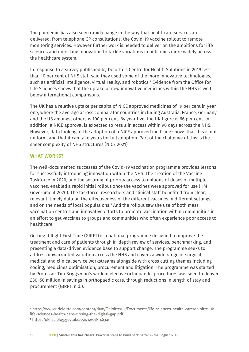The pandemic has also seen rapid change in the way that healthcare services are delivered, from telephone GP consultations, the Covid-19 vaccine rollout to remote monitoring services. However further work is needed to deliver on the ambitions for life sciences and unlocking innovation to tackle variations in outcomes more widely across the healthcare system.

In response to a survey published by Deloitte's Centre for Health Solutions in 2019 less than 10 per cent of NHS staff said they used some of the more innovative technologies, such as artificial intelligence, virtual reality, and robotics. [4](#page-18-0) Evidence from the Office for Life Sciences shows that the uptake of new innovative medicines within the NHS is well below international comparisons.

The UK has a relative uptake per capita of NICE approved medicines of 19 per cent in year one, where the average across comparator countries including Australia, France, Germany, and the US amongst others is 100 per cent. By year five, the UK figure is 66 per cent. In addition, a NICE approval is expected to result in access within 90 days across the NHS. However, data looking at the adoption of a NICE approved medicine shows that this is not uniform, and that it can take years for full adoption. Part of the challenge of this is the sheer complexity of NHS structures (NICE 2021).

#### WHAT WORKS?

The well-documented successes of the Covid-19 vaccination programme provides lessons for successfully introducing innovation within the NHS. The creation of the Vaccine Taskforce in 2020, and the securing of priority access to millions of doses of multiple vaccines, enabled a rapid initial rollout once the vaccines were approved for use (HM Government 2020). The taskforce, researchers and clinical staff benefited from clear, relevant, timely data on the effectiveness of the different vaccines in different settings, and on the needs of local populations. [5](#page-18-1) And the rollout saw the use of both mass vaccination centres and innovative efforts to promote vaccination within communities in an effort to get vaccines to groups and communities who often experience poor access to healthcare.

Getting It Right First Time (GIRFT) is a national programme designed to improve the treatment and care of patients through in-depth review of services, benchmarking, and presenting a data-driven evidence base to support change. The programme seeks to address unwarranted variation across the NHS and covers a wide range of surgical, medical and clinical service workstreams alongside with cross cutting themes including coding, medicines optimisation, procurement and litigation. The programme was started by Professor Tim Briggs who's work in elective orthopaedic procedures was seen to deliver £30–50 million in savings in orthopaedic care, through reductions in length of stay and procurement (GIRFT, n.d.).

<span id="page-18-0"></span><sup>4</sup> [https://www2.deloitte.com/content/dam/Deloitte/uk/Documents/life-sciences-health-care/deloitte-uk](https://www2.deloitte.com/content/dam/Deloitte/uk/Documents/life-sciences-health-care/deloitte-uk-life-sciences-health-care-closing-the-digital-gap.pdf)[life-sciences-health-care-closing-the-digital-gap.pdf](https://www2.deloitte.com/content/dam/Deloitte/uk/Documents/life-sciences-health-care/deloitte-uk-life-sciences-health-care-closing-the-digital-gap.pdf)

<span id="page-18-1"></span><sup>5</sup> <https://ukhsa.blog.gov.uk/2021/12/08/14634/>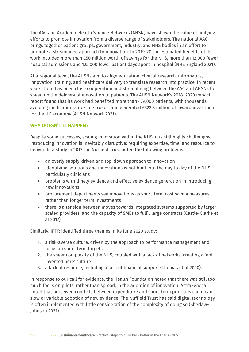The AAC and Academic Health Science Networks (AHSN) have shown the value of unifying efforts to promote innovation from a diverse range of stakeholders. The national AAC brings together patient groups, government, industry, and NHS bodies in an effort to promote a streamlined approach to innovation. In 2019-20 the estimated benefits of its work included more than £50 million worth of savings for the NHS, more than 12,000 fewer hospital admissions and 125,000 fewer patient days spent in hospital (NHS England 2021).

At a regional level, the AHSNs aim to align education, clinical research, informatics, innovation, training, and healthcare delivery to translate research into practice. In recent years there has been close cooperation and streamlining between the AAC and AHSNs to speed up the delivery of innovation to patients. The AHSN Network's 2018–2020 impact report found that its work had benefited more than 479,000 patients, with thousands avoiding medication errors or strokes, and generated £322.3 million of inward investment for the UK economy (AHSN Network 2021).

#### WHY DOESN'T IT HAPPEN?

Despite some successes, scaling innovation within the NHS, it is still highly challenging. Introducing innovation is inevitably disruptive; requiring expertise, time, and resource to deliver. In a study in 2017 the Nuffield Trust noted the following problems:

- an overly supply-driven and top-down approach to innovation
- identifying solutions and innovations is not built into the day to day of the NHS, particularly clinicians
- problems with timely evidence and effective evidence generation in introducing new innovations
- procurement departments see innovations as short-term cost saving measures, rather than longer term investments
- there is a tension between moves towards integrated systems supported by larger scaled providers, and the capacity of SMEs to fulfil large contracts (Castle-Clarke et al 2017).

Similarly, IPPR identified three themes in its June 2020 study:

- 1. a risk-averse culture, driven by the approach to performance management and focus on short-term targets
- 2. the sheer complexity of the NHS, coupled with a lack of networks, creating a 'not invented here' culture
- 3. a lack of resource, including a lack of financial support (Thomas et al 2020).

In response to our call for evidence, the Health Foundation noted that there was still too much focus on pilots, rather than spread, in the adoption of innovation. AstraZeneca noted that perceived conflicts between expenditure and short-term priorities can mean slow or variable adoption of new evidence. The Nuffield Trust has said digital technology is often implemented with little consideration of the complexity of doing so (Sherlaw-Johnson 2021).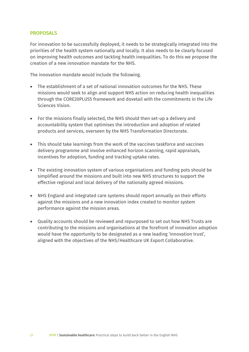#### PROPOSALS

For innovation to be successfully deployed, it needs to be strategically integrated into the priorities of the health system nationally and locally. It also needs to be clearly focused on improving health outcomes and tackling health inequalities. To do this we propose the creation of a new innovation mandate for the NHS.

The innovation mandate would include the following.

- The establishment of a set of national innovation outcomes for the NHS. These missions would seek to align and support NHS action on reducing health inequalities through the CORE20PLUS5 framework and dovetail with the commitments in the Life Sciences Vision.
- For the missions finally selected, the NHS should then set-up a delivery and accountability system that optimises the introduction and adoption of related products and services, overseen by the NHS Transformation Directorate.
- This should take learnings from the work of the vaccines taskforce and vaccines delivery programme and involve enhanced horizon scanning, rapid appraisals, incentives for adoption, funding and tracking uptake rates.
- The existing innovation system of various organisations and funding pots should be simplified around the missions and built into new NHS structures to support the effective regional and local delivery of the nationally agreed missions.
- NHS England and integrated care systems should report annually on their efforts against the missions and a new innovation index created to monitor system performance against the mission areas.
- Quality accounts should be reviewed and repurposed to set out how NHS Trusts are contributing to the missions and organisations at the forefront of innovation adoption would have the opportunity to be designated as a new leading 'innovation trust', aligned with the objectives of the NHS/Healthcare UK Export Collaborative.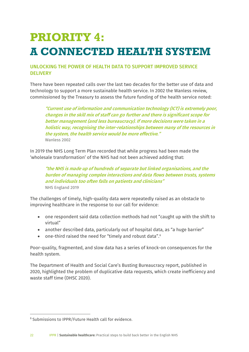### **PRIORITY 4: A CONNECTED HEALTH SYSTEM**

#### UNLOCKING THE POWER OF HEALTH DATA TO SUPPORT IMPROVED SERVICE **DELIVERY**

There have been repeated calls over the last two decades for the better use of data and technology to support a more sustainable health service. In 2002 the Wanless review, commissioned by the Treasury to assess the future funding of the health service noted:

"Current use of information and communication technology (ICT) is extremely poor, changes in the skill mix of staff can go further and there is significant scope for better management (and less bureaucracy). If more decisions were taken in a holistic way, recognising the inter-relationships between many of the resources in the system, the health service would be more effective." Wanless 2002

In 2019 the NHS Long Term Plan recorded that while progress had been made the 'wholesale transformation' of the NHS had not been achieved adding that:

"the NHS is made up of hundreds of separate but linked organisations, and the burden of managing complex interactions and data flows between trusts, systems and individuals too often falls on patients and clinicians" NHS England 2019

The challenges of timely, high-quality data were repeatedly raised as an obstacle to improving healthcare in the response to our call for evidence:

- one respondent said data collection methods had not "caught up with the shift to virtual"
- another described data, particularly out of hospital data, as "a huge barrier"
- one-third raised the need for "timely and robust data".<sup>[6](#page-21-0)</sup>

Poor-quality, fragmented, and slow data has a series of knock-on consequences for the health system.

The Department of Health and Social Care's Busting Bureaucracy report, published in 2020, highlighted the problem of duplicative data requests, which create inefficiency and waste staff time (DHSC 2020).

<span id="page-21-0"></span><sup>6</sup> Submissions to IPPR/Future Health call for evidence.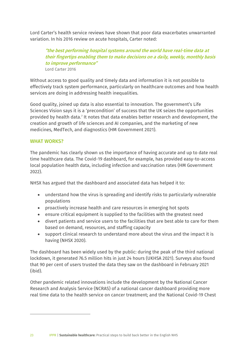Lord Carter's health service reviews have shown that poor data exacerbates unwarranted variation. In his 2016 review on acute hospitals, Carter noted:

"the best performing hospital systems around the world have real-time data at their fingertips enabling them to make decisions on a daily, weekly, monthly basis to improve performance" Lord Carter 2016

Without access to good quality and timely data and information it is not possible to effectively track system performance, particularly on healthcare outcomes and how health services are doing in addressing health inequalities.

Good quality, joined up data is also essential to innovation. The government's Life Sciences Vision says it is a 'precondition' of success that the UK seizes the opportunities provided by health data.<sup>[7](#page-22-0)</sup> It notes that data enables better research and development, the creation and growth of life sciences and AI companies, and the marketing of new medicines, MedTech, and diagnostics (HM Government 2021).

#### WHAT WORKS?

The pandemic has clearly shown us the importance of having accurate and up to date real time healthcare data. The Covid-19 dashboard, for example, has provided easy-to-access local population health data, including infection and vaccination rates (HM Government 2022).

NHSX has argued that the dashboard and associated data has helped it to:

- understand how the virus is spreading and identify risks to particularly vulnerable populations
- proactively increase health and care resources in emerging hot spots
- ensure critical equipment is supplied to the facilities with the greatest need
- divert patients and service users to the facilities that are best able to care for them based on demand, resources, and staffing capacity
- support clinical research to understand more about the virus and the impact it is having (NHSX 2020).

The dashboard has been widely used by the public: during the peak of the third national lockdown, it generated 76.5 million hits in just 24 hours (UKHSA 2021). Surveys also found that 90 per cent of users trusted the data they saw on the dashboard in February 2021 (ibid).

<span id="page-22-0"></span>Other pandemic related innovations include the development by the National Cancer Research and Analysis Service (NCRAS) of a national cancer dashboard providing more real time data to the health service on cancer treatment; and the National Covid-19 Chest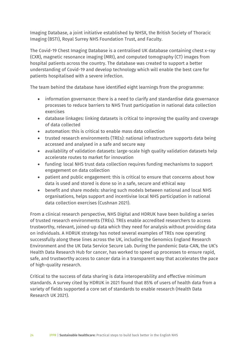Imaging Database, a joint initiative established by NHSX, the British Society of Thoracic Imaging (BSTI), Royal Surrey NHS Foundation Trust, and Faculty.

The Covid-19 Chest Imaging Database is a centralised UK database containing chest x-ray (CXR), magnetic resonance imaging (MRI), and computed tomography (CT) images from hospital patients across the country. The database was created to support a better understanding of Covid-19 and develop technology which will enable the best care for patients hospitalised with a severe infection.

The team behind the database have identified eight learnings from the programme:

- information governance: there is a need to clarify and standardise data governance processes to reduce barriers to NHS Trust participation in national data collection exercises
- database linkages: linking datasets is critical to improving the quality and coverage of data collected
- automation: this is critical to enable mass data collection
- trusted research environments (TREs): national infrastructure supports data being accessed and analysed in a safe and secure way
- availability of validation datasets: large-scale high quality validation datasets help accelerate routes to market for innovation
- funding: local NHS trust data collection requires funding mechanisms to support engagement on data collection
- patient and public engagement: this is critical to ensure that concerns about how data is used and stored is done so in a safe, secure and ethical way
- benefit and share models: sharing such models between national and local NHS organisations, helps support and incentivise local NHS participation in national data collection exercises (Cushnan 2021).

From a clinical research perspective, NHS Digital and HDRUK have been building a series of trusted research environments (TREs). TREs enable accredited researchers to access trustworthy, relevant, joined-up data which they need for analysis without providing data on individuals. A HDRUK strategy has noted several examples of TREs now operating successfully along these lines across the UK, including the Genomics England Research Environment and the UK Data Service Secure Lab. During the pandemic Data-CAN, the UK's Health Data Research Hub for cancer, has worked to speed up processes to ensure rapid, safe, and trustworthy access to cancer data in a transparent way that accelerates the pace of high-quality research.

Critical to the success of data sharing is data interoperability and effective minimum standards. A survey cited by HDRUK in 2021 found that 85% of users of health data from a variety of fields supported a core set of standards to enable research (Health Data Research UK 2021).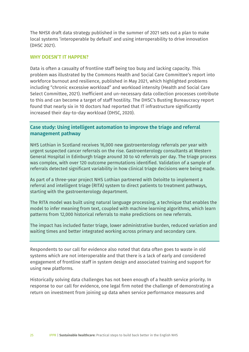The NHSX draft data strategy published in the summer of 2021 sets out a plan to make local systems 'interoperable by default' and using interoperability to drive innovation (DHSC 2021).

#### WHY DOESN'T IT HAPPEN?

Data is often a casualty of frontline staff being too busy and lacking capacity. This problem was illustrated by the Commons Health and Social Care Committee's report into workforce burnout and resilience, published in May 2021, which highlighted problems including "chronic excessive workload" and workload intensity (Health and Social Care Select Committee, 2021). Inefficient and un-necessary data collection processes contribute to this and can become a target of staff hostility. The DHSC's Busting Bureaucracy report found that nearly six in 10 doctors had reported that IT infrastructure significantly increased their day-to-day workload (DHSC, 2020).

#### Case study: Using intelligent automation to improve the triage and referral management pathway

NHS Lothian in Scotland receives 16,000 new gastroenterology referrals per year with urgent suspected cancer referrals on the rise. Gastroenterology consultants at Western General Hospital in Edinburgh triage around 30 to 40 referrals per day. The triage process was complex, with over 120 outcome permutations identified. Validation of a sample of referrals detected significant variability in how clinical triage decisions were being made.

As part of a three-year project NHS Lothian partnered with Deloitte to implement a referral and intelligent triage (RITA) system to direct patients to treatment pathways, starting with the gastroenterology department.

The RITA model was built using natural language processing, a technique that enables the model to infer meaning from text, coupled with machine learning algorithms, which learn patterns from 12,000 historical referrals to make predictions on new referrals.

The impact has included faster triage, lower administrative burden, reduced variation and waiting times and better integrated working across primary and secondary care.

Respondents to our call for evidence also noted that data often goes to waste in old systems which are not interoperable and that there is a lack of early and considered engagement of frontline staff in system design and associated training and support for using new platforms.

Historically solving data challenges has not been enough of a health service priority. In response to our call for evidence, one legal firm noted the challenge of demonstrating a return on investment from joining up data when service performance measures and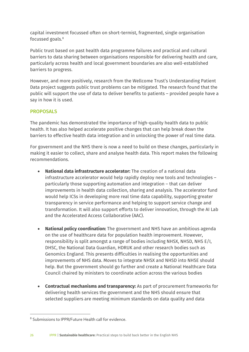capital investment focussed often on short-termist, fragmented, single organisation focussed goals. [8](#page-25-0)

Public trust based on past health data programme failures and practical and cultural barriers to data sharing between organisations responsible for delivering health and care, particularly across health and local government boundaries are also well-established barriers to progress.

However, and more positively, research from the Wellcome Trust's Understanding Patient Data project suggests public trust problems can be mitigated. The research found that the public will support the use of data to deliver benefits to patients – provided people have a say in how it is used.

#### PROPOSALS

The pandemic has demonstrated the importance of high-quality health data to public health. It has also helped accelerate positive changes that can help break down the barriers to effective health data integration and in unlocking the power of real time data.

For government and the NHS there is now a need to build on these changes, particularly in making it easier to collect, share and analyse health data. This report makes the following recommendations.

- **National data infrastructure accelerator:** The creation of a national data infrastructure accelerator would help rapidly deploy new tools and technologies – particularly those supporting automation and integration – that can deliver improvements in health data collection, sharing and analysis. The accelerator fund would help ICSs in developing more real time data capability, supporting greater transparency in service performance and helping to support service change and transformation. It will also support efforts to deliver innovation, through the AI Lab and the Accelerated Access Collaborative (AAC).
- **National policy coordination:** The government and NHS have an ambitious agenda on the use of healthcare data for population health improvement. However, responsibility is split amongst a range of bodies including NHSX, NHSD, NHS E/I, DHSC, the National Data Guardian, HDRUK and other research bodies such as Genomics England. This presents difficulties in realising the opportunities and improvements of NHS data. Moves to integrate NHSX and NHSD into NHSE should help. But the government should go further and create a National Healthcare Data Council chaired by ministers to coordinate action across the various bodies
- **Contractual mechanisms and transparency:** As part of procurement frameworks for delivering health services the government and the NHS should ensure that selected suppliers are meeting minimum standards on data quality and data

<span id="page-25-0"></span><sup>8</sup> Submissions to IPPR/Future Health call for evidence.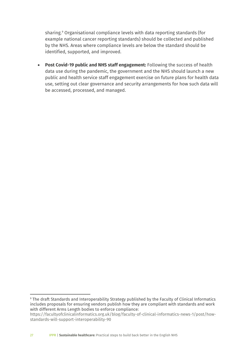sharing.[9](#page-26-0) Organisational compliance levels with data reporting standards (for example national cancer reporting standards) should be collected and published by the NHS. Areas where compliance levels are below the standard should be identified, supported, and improved.

• **Post Covid-19 public and NHS staff engagement:** Following the success of health data use during the pandemic, the government and the NHS should launch a new public and health service staff engagement exercise on future plans for health data use, setting out clear governance and security arrangements for how such data will be accessed, processed, and managed.

<span id="page-26-0"></span><sup>9</sup> The draft Standards and Interoperability Strategy published by the Faculty of Clinical Informatics includes proposals for ensuring vendors publish how they are compliant with standards and work with different Arms Length bodies to enforce compliance:

[https://facultyofclinicalinformatics.org.uk/blog/faculty-of-clinical-informatics-news-1/post/how](https://facultyofclinicalinformatics.org.uk/blog/faculty-of-clinical-informatics-news-1/post/how-standards-will-support-interoperability-90)[standards-will-support-interoperability-90](https://facultyofclinicalinformatics.org.uk/blog/faculty-of-clinical-informatics-news-1/post/how-standards-will-support-interoperability-90)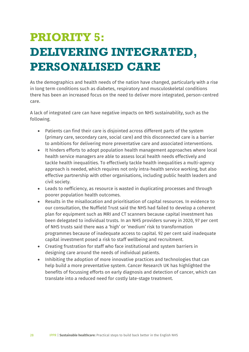## **PRIORITY 5: DELIVERING INTEGRATED, PERSONALISED CARE**

As the demographics and health needs of the nation have changed, particularly with a rise in long term conditions such as diabetes, respiratory and musculoskeletal conditions there has been an increased focus on the need to deliver more integrated, person-centred care.

A lack of integrated care can have negative impacts on NHS sustainability, such as the following.

- Patients can find their care is disjointed across different parts of the system (primary care, secondary care, social care) and this disconnected care is a barrier to ambitions for delivering more preventative care and associated interventions.
- It hinders efforts to adopt population health management approaches where local health service managers are able to assess local health needs effectively and tackle health inequalities. To effectively tackle health inequalities a multi-agency approach is needed, which requires not only intra-health service working, but also effective partnership with other organisations, including public health leaders and civil society.
- Leads to nefficiency, as resource is wasted in duplicating processes and through poorer population health outcomes.
- Results in the misallocation and prioritisation of capital resources. In evidence to our consultation, the Nuffield Trust said the NHS had failed to develop a coherent plan for equipment such as MRI and CT scanners because capital investment has been delegated to individual trusts. In an NHS providers survey in 2020, 97 per cent of NHS trusts said there was a 'high' or 'medium' risk to transformation programmes because of inadequate access to capital. 92 per cent said inadequate capital investment posed a risk to staff wellbeing and recruitment.
- Creating frustration for staff who face institutional and system barriers in designing care around the needs of individual patients.
- Inhibiting the adoption of more innovative practices and technologies that can help build a more preventative system. Cancer Research UK has highlighted the benefits of focussing efforts on early diagnosis and detection of cancer, which can translate into a reduced need for costly late-stage treatment.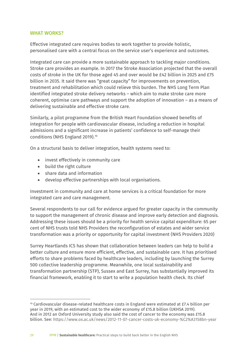#### WHAT WORKS?

Effective integrated care requires bodies to work together to provide holistic, personalised care with a central focus on the service user's experience and outcomes.

Integrated care can provide a more sustainable approach to tackling major conditions. Stroke care provides an example. In 2017 the Stroke Association projected that the overall costs of stroke in the UK for those aged 45 and over would be £42 billion in 2025 and £75 billion in 2035. It said there was "great capacity" for improvements on prevention, treatment and rehabilitation which could relieve this burden. The NHS Long Term Plan identified integrated stroke delivery networks – which aim to make stroke care more coherent, optimise care pathways and support the adoption of innovation – as a means of delivering sustainable and effective stroke care.

Similarly, a pilot programme from the British Heart Foundation showed benefits of integration for people with cardiovascular disease, including a reduction in hospital admissions and a significant increase in patients' confidence to self-manage their conditions (NHS England 2019).[10](#page-28-0)

On a structural basis to deliver integration, health systems need to:

- invest effectively in community care
- build the right culture
- share data and information
- develop effective partnerships with local organisations.

Investment in community and care at home services is a critical foundation for more integrated care and care management.

Several respondents to our call for evidence argued for greater capacity in the community to support the management of chronic disease and improve early detection and diagnosis. Addressing these issues should be a priority for health service capital expenditure: 65 per cent of NHS trusts told NHS Providers the reconfiguration of estates and wider service transformation was a priority or opportunity for capital investment (NHS Providers 2020)

Surrey Heartlands ICS has shown that collaboration between leaders can help to build a better culture and ensure more efficient, effective, and sustainable care. It has prioritised efforts to share problems faced by healthcare leaders, including by launching the Surrey 500 collective leadership programme. Meanwhile, one local sustainability and transformation partnership (STP), Sussex and East Surrey, has substantially improved its financial framework, enabling it to start to write a population health check. Its chief

<span id="page-28-0"></span><sup>&</sup>lt;sup>10</sup> Cardiovascular disease-related healthcare costs in England were estimated at £7.4 billion per year in 2019, with an estimated cost to the wider economy of £15.8 billion (UKHSA 2019). And in 2012 an Oxford University study also said the cost of cancer to the economy was £15.8 billion. See: <https://www.ox.ac.uk/news/2012-11-07-cancer-costs-uk-economy-%C2%A3158bn-year>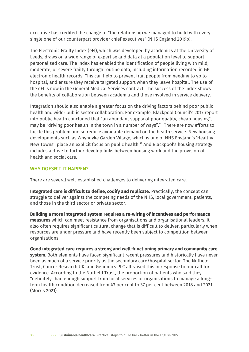executive has credited the change to "the relationship we managed to build with every single one of our counterpart provider chief executives" (NHS England 2019b).

The Electronic Frailty Index (eFI), which was developed by academics at the University of Leeds, draws on a wide range of expertise and data at a population level to support personalised care. The index has enabled the identification of people living with mild, moderate, or severe frailty through routine data, including information recorded in GP electronic health records. This can help to prevent frail people from needing to go to hospital, and ensure they receive targeted support when they leave hospital. The use of the eFI is now in the General Medical Services contract. The success of the index shows the benefits of collaboration between academia and those involved in service delivery.

Integration should also enable a greater focus on the driving factors behind poor public health and wider public sector collaboration. For example, Blackpool Council's 2017 report into public health concluded that "an abundant supply of poor quality, cheap housing", may be "driving poor health in the town in a number of ways". [11](#page-29-0) There are now efforts to tackle this problem and so reduce avoidable demand on the health service. New housing developments such as Whyndyke Garden Village, which is one of NHS England's 'Healthy New Towns', place an explicit focus on public health. [12](#page-29-1) And Blackpool's housing strategy includes a drive to further develop links between housing work and the provision of health and social care.

#### WHY DOESN'T IT HAPPEN?

There are several well-established challenges to delivering integrated care.

**Integrated care is difficult to define, codify and replicate.** Practically, the concept can struggle to deliver against the competing needs of the NHS, local government, patients, and those in the third sector or private sector.

**Building a more integrated system requires a re-wiring of incentives and performance measures** which can meet resistance from organisations and organisational leaders. It also often requires significant cultural change that is difficult to deliver, particularly when resources are under pressure and have recently been subject to competition between organisations.

<span id="page-29-1"></span><span id="page-29-0"></span>**Good integrated care requires a strong and well-functioning primary and community care system**. Both elements have faced significant recent pressures and historically have never been as much of a service priority as the secondary care/hospital sector. The Nuffield Trust, Cancer Research UK, and Genomics PLC all raised this in response to our call for evidence. According to the Nuffield Trust, the proportion of patients who said they "definitely" had enough support from local services or organisations to manage a longterm health condition decreased from 43 per cent to 37 per cent between 2018 and 2021 (Morris 2021).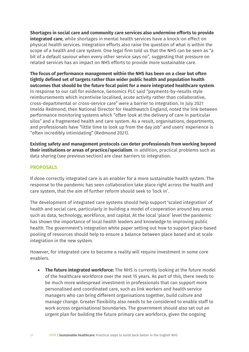**Shortages in social care and community care services also undermine efforts to provide integrated care**, while shortages in mental health services have a knock-on effect on physical health services. Integration efforts also raise the question of what is within the scope of a health and care system. One legal firm told us that the NHS can be seen as "a bit of a default saviour when every other service says no", suggesting that pressure on related services has an impact on NHS efforts to provide more sustainable care.

**The focus of performance management within the NHS has been on a clear but often tightly defined set of targets rather than wider public health and population health outcomes that should be the future focal point for a more integrated healthcare system**. In response to our call for evidence, Genomics PLC said "payments-by-results style reimbursements which incentivise localised, acute activity rather than collaborative, cross-departmental or cross-service care" were a barrier to integration. In July 2021 Imelda Redmond, then National Director for Healthwatch England, noted the link between performance monitoring systems which "often look at the delivery of care in particular silos" and a fragmented health and care system. As a result, organisations, departments, and professionals have "little time to look up from the day job" and users' experience is "often incredibly intimidating" (Redmond 2021).

**Existing safety and management protocols can deter professionals from working beyond their institutions or areas of practice/specialism**. In addition, practical problems such as data sharing (see previous section) are clear barriers to integration.

#### PROPOSALS

If done correctly integrated care is an enabler for a more sustainable health system. The response to the pandemic has seen collaboration take place right across the health and care system, that the aim of further reform should seek to 'lock in'.

The development of integrated care systems should help support 'scaled integration' of health and social care, particularly in building a model of cooperation around key areas such as data, technology, workforce, and capital. At the local 'place' level the pandemic has shown the importance of local health leaders and knowledge to improving public health. The government's integration white paper setting out how to support place-based pooling of resources should help to ensure a balance between place based and at scale integration in the new system.

However, for integrated care to become a reality will require investment in some core enablers.

• **The future integrated workforce:** The NHS is currently looking at the future model of the healthcare workforce over the next 15 years. As part of this, there needs to be much more widespread investment in professionals that can support more personalised and coordinated care, such as link workers and health service managers who can bring different organisations together, build culture and manage change. Greater flexibility also needs to be considered to enable staff to work across organisational boundaries. The government should also set out an urgent plan for building the future primary care workforce, given the ongoing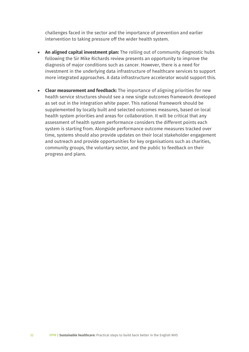challenges faced in the sector and the importance of prevention and earlier intervention to taking pressure off the wider health system.

- **An aligned capital investment plan:** The rolling out of community diagnostic hubs following the Sir Mike Richards review presents an opportunity to improve the diagnosis of major conditions such as cancer. However, there is a need for investment in the underlying data infrastructure of healthcare services to support more integrated approaches. A data infrastructure accelerator would support this.
- **Clear measurement and feedback:** The importance of aligning priorities for new health service structures should see a new single outcomes framework developed as set out in the integration white paper. This national framework should be supplemented by locally built and selected outcomes measures, based on local health system priorities and areas for collaboration. It will be critical that any assessment of health system performance considers the different points each system is starting from. Alongside performance outcome measures tracked over time, systems should also provide updates on their local stakeholder engagement and outreach and provide opportunities for key organisations such as charities, community groups, the voluntary sector, and the public to feedback on their progress and plans.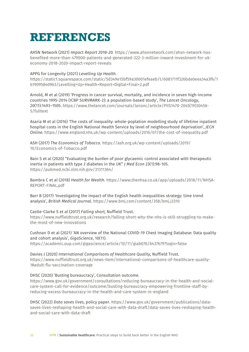### **REFERENCES**

AHSN Network (2021) *Impact Report 2018-20.* [https://www.ahsnnetwork.com/ahsn-network-has](https://www.ahsnnetwork.com/ahsn-network-has-benefited-more-than-479000-patients-and-generated-322-3-million-inward-investment-for-uk-economy-2018-2020-impact-report-reveals)[benefited-more-than-479000-patients-and-generated-322-3-million-inward-investment-for-uk](https://www.ahsnnetwork.com/ahsn-network-has-benefited-more-than-479000-patients-and-generated-322-3-million-inward-investment-for-uk-economy-2018-2020-impact-report-reveals)[economy-2018-2020-impact-report-reveals](https://www.ahsnnetwork.com/ahsn-network-has-benefited-more-than-479000-patients-and-generated-322-3-million-inward-investment-for-uk-economy-2018-2020-impact-report-reveals)

#### APPG for Longevity (2021) *Levelling Up Health.*

[https://static1.squarespace.com/static/5d349e15bf59a30001efeaeb/t/6081711f326bde0eea34a3f6/1](https://static1.squarespace.com/static/5d349e15bf59a30001efeaeb/t/6081711f326bde0eea34a3f6/1619095840963/Levelling+Up+Health+Report+Digital+Final+2.pdf) [619095840963/Levelling+Up+Health+Report+Digital+Final+2.pdf](https://static1.squarespace.com/static/5d349e15bf59a30001efeaeb/t/6081711f326bde0eea34a3f6/1619095840963/Levelling+Up+Health+Report+Digital+Final+2.pdf)

Arnold, M et al (2019) 'Progress in cancer survival, mortality, and incidence in seven high-income countries 1995-2014 (ICBP SURVMARK-2): a population-based study', *The Lancet Oncology*, 20(11):1493–1505. [https://www.thelancet.com/journals/lanonc/article/PIIS1470-2045\(19\)30456-](https://www.thelancet.com/journals/lanonc/article/PIIS1470-2045(19)30456-5/fulltext) [5/fulltext](https://www.thelancet.com/journals/lanonc/article/PIIS1470-2045(19)30456-5/fulltext)

Asaria M et al (2016) 'The costs of inequality: whole-poplation modelling study of lifetime inpatient hospital costs in the English National Health Service by level of neighbourhood deprivation', *JECH Online.* <https://www.england.nhs.uk/wp-content/uploads/2016/07/the-cost-of-inequality.pdf>

ASH (2017) *The Economics of Tobacco.* [https://ash.org.uk/wp-content/uploads/2019/](https://ash.org.uk/wp-content/uploads/2019/%0b10/Economics-of-Tobacco.pdf) [10/Economics-of-Tobacco.pdf](https://ash.org.uk/wp-content/uploads/2019/%0b10/Economics-of-Tobacco.pdf) 

Bain S et al (2020) "Evaluating the burden of poor glycaemic control associated with therapeutic inertia in patients with type 2 diabetes in the UK" *J Med Econ* 23(1):98-105. <https://pubmed.ncbi.nlm.nih.gov/31311364/>

Bambra C et al (2018) *Health for Wealth.* [https://www.thenhsa.co.uk/app/uploads/2018/11/NHSA-](https://www.thenhsa.co.uk/app/uploads/2018/11/NHSA-REPORT-FINAL.pdf)[REPORT-FINAL.pdf](https://www.thenhsa.co.uk/app/uploads/2018/11/NHSA-REPORT-FINAL.pdf) 

Barr B (2017) 'Investigating the impact of the English health inequalities strategy: time trend analysis', *British Medical Journal.* <https://www.bmj.com/content/358/bmj.j3310>

#### Castle-Clarke S et al (2017) *Falling short,* Nuffield Trust.

[https://www.nuffieldtrust.org.uk/research/falling-short-why-the-nhs-is-still-struggling-to-make](https://www.nuffieldtrust.org.uk/research/falling-short-why-the-nhs-is-still-struggling-to-make-the-most-of-new-innovations)[the-most-of-new-innovations](https://www.nuffieldtrust.org.uk/research/falling-short-why-the-nhs-is-still-struggling-to-make-the-most-of-new-innovations)

Cushnan D et al (2021) 'AN overview of the National COVID-19 Chest Imaging Database: Data quality and cohort analysis', *GigaScience*, 10(11). <https://academic.oup.com/gigascience/article/10/11/giab076/6437679?login=false>

Davies J (2020) *International Comparisons of Healthcare Quality*, Nuffield Trust. [https://www.nuffieldtrust.org.uk/news-item/international-comparisons-of-healthcare-quality-](https://www.nuffieldtrust.org.uk/news-item/international-comparisons-of-healthcare-quality-1#adult-flu-vaccination-coverage)[1#adult-flu-vaccination-coverage](https://www.nuffieldtrust.org.uk/news-item/international-comparisons-of-healthcare-quality-1#adult-flu-vaccination-coverage)

DHSC (2020) 'Busting bureaucracy', Consultation outcome.

[https://www.gov.uk/government/consultations/reducing-bureaucracy-in-the-health-and-social](https://www.gov.uk/government/consultations/reducing-bureaucracy-in-the-health-and-social-care-system-call-for-evidence/outcome/busting-bureaucracy-empowering-frontline-staff-by-reducing-excess-bureaucracy-in-the-health-and-care-system-in-england)[care-system-call-for-evidence/outcome/busting-bureaucracy-empowering-frontline-staff-by](https://www.gov.uk/government/consultations/reducing-bureaucracy-in-the-health-and-social-care-system-call-for-evidence/outcome/busting-bureaucracy-empowering-frontline-staff-by-reducing-excess-bureaucracy-in-the-health-and-care-system-in-england)[reducing-excess-bureaucracy-in-the-health-and-care-system-in-england](https://www.gov.uk/government/consultations/reducing-bureaucracy-in-the-health-and-social-care-system-call-for-evidence/outcome/busting-bureaucracy-empowering-frontline-staff-by-reducing-excess-bureaucracy-in-the-health-and-care-system-in-england)

DHSC (2022) *Data saves lives*, policy paper. [https://www.gov.uk/government/publications/data](https://www.gov.uk/government/publications/data-saves-lives-reshaping-health-and-social-care-with-data-draft/data-saves-lives-reshaping-health-and-social-care-with-data-draft)[saves-lives-reshaping-health-and-social-care-with-data-draft/data-saves-lives-reshaping-health](https://www.gov.uk/government/publications/data-saves-lives-reshaping-health-and-social-care-with-data-draft/data-saves-lives-reshaping-health-and-social-care-with-data-draft)[and-social-care-with-data-draft](https://www.gov.uk/government/publications/data-saves-lives-reshaping-health-and-social-care-with-data-draft/data-saves-lives-reshaping-health-and-social-care-with-data-draft)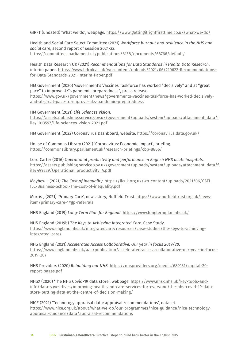GIRFT (undated) 'What we do', webpage*.* <https://www.gettingitrightfirsttime.co.uk/what-we-do/>

Health and Social Care Select Committee (2021) *Workforce burnout and resilience in the NHS and social* care, second report of session 2021-22. <https://committees.parliament.uk/publications/6158/documents/68766/default/>

Health Data Research UK (2021) *Recommendations for Data Standards in Health Data Research*, interim paper. [https://www.hdruk.ac.uk/wp-content/uploads/2021/06/210622-Recommendations](https://www.hdruk.ac.uk/wp-content/uploads/2021/06/210622-Recommendations-for-Data-Standards-2021-Interim-Paper.pdf)[for-Data-Standards-2021-Interim-Paper.pdf](https://www.hdruk.ac.uk/wp-content/uploads/2021/06/210622-Recommendations-for-Data-Standards-2021-Interim-Paper.pdf)

HM Government (2020) 'Government's Vaccines Taskforce has worked "decisively" and at "great pace" to improve UK's pandemic preparedness", press release.

[https://www.gov.uk/government/news/governments-vaccines-taskforce-has-worked-decisively](https://www.gov.uk/government/news/governments-vaccines-taskforce-has-worked-decisively-and-at-great-pace-to-improve-uks-pandemic-preparedness)[and-at-great-pace-to-improve-uks-pandemic-preparedness](https://www.gov.uk/government/news/governments-vaccines-taskforce-has-worked-decisively-and-at-great-pace-to-improve-uks-pandemic-preparedness)

HM Government (2021) *Life Sciences Vision.*  [https://assets.publishing.service.gov.uk/government/uploads/system/uploads/attachment\\_data/f](https://assets.publishing.service.gov.uk/government/uploads/system/uploads/attachment_data/file/1013597/life-sciences-vision-2021.pdf) [ile/1013597/life-sciences-vision-2021.pdf](https://assets.publishing.service.gov.uk/government/uploads/system/uploads/attachment_data/file/1013597/life-sciences-vision-2021.pdf)

HM Government (2022) Coronavirus Dashboard, website.<https://coronavirus.data.gov.uk/>

House of Commons Library (2021) 'Coronavirus: Economic Impact', briefing. <https://commonslibrary.parliament.uk/research-briefings/cbp-8866/>

Lord Carter (2016) *Operational productivity and performance in English NHS acute hospitals.*  [https://assets.publishing.service.gov.uk/government/uploads/system/uploads/attachment\\_data/f](https://assets.publishing.service.gov.uk/government/uploads/system/uploads/attachment_data/file/499229/Operational_productivity_A.pdf) [ile/499229/Operational\\_productivity\\_A.pdf](https://assets.publishing.service.gov.uk/government/uploads/system/uploads/attachment_data/file/499229/Operational_productivity_A.pdf)

Mayhew L (2021) *The Cost of Inequality.* [https://ilcuk.org.uk/wp-content/uploads/2021/06/CSFI-](https://ilcuk.org.uk/wp-content/uploads/2021/06/CSFI-ILC-Business-School-The-cost-of-inequality.pdf)[ILC-Business-School-The-cost-of-inequality.pdf](https://ilcuk.org.uk/wp-content/uploads/2021/06/CSFI-ILC-Business-School-The-cost-of-inequality.pdf) 

Morris J (2021) 'Primary Care', news story, Nuffield Trust. [https://www.nuffieldtrust.org.uk/news](https://www.nuffieldtrust.org.uk/news-item/primary-care-1#gp-referrals)[item/primary-care-1#gp-referrals](https://www.nuffieldtrust.org.uk/news-item/primary-care-1#gp-referrals)

NHS England (2019) *Long-Term Plan for England.* <https://www.longtermplan.nhs.uk/>

NHS England (2019b) *The Keys to Achieving Integrated Care.* Case Study. [https://www.england.nhs.uk/integratedcare/resources/case-studies/the-keys-to-achieving](https://www.england.nhs.uk/integratedcare/resources/case-studies/the-keys-to-achieving-integrated-care/)[integrated-care/](https://www.england.nhs.uk/integratedcare/resources/case-studies/the-keys-to-achieving-integrated-care/)

NHS England (2021) *Accelerated Access Collaborative: Our year in focus 2019/20.*  [https://www.england.nhs.uk/aac/publication/accelerated-access-collaborative-our-year-in-focus-](https://www.england.nhs.uk/aac/publication/accelerated-access-collaborative-our-year-in-focus-2019-20/)[2019-20/](https://www.england.nhs.uk/aac/publication/accelerated-access-collaborative-our-year-in-focus-2019-20/)

NHS Providers (2020) *Rebuilding our NHS.* [https://nhsproviders.org/media/689131/capital-20](https://nhsproviders.org/media/689131/capital-20-report-pages.pdf) [report-pages.pdf](https://nhsproviders.org/media/689131/capital-20-report-pages.pdf)

NHSX (2020) 'The NHS Covid-19 data store', webpage*.* [https://www.nhsx.nhs.uk/key-tools-and](https://www.nhsx.nhs.uk/key-tools-and-info/data-saves-lives/improving-health-and-care-services-for-everyone/the-nhs-covid-19-data-store-putting-data-at-the-centre-of-decision-making/)[info/data-saves-lives/improving-health-and-care-services-for-everyone/the-nhs-covid-19-data](https://www.nhsx.nhs.uk/key-tools-and-info/data-saves-lives/improving-health-and-care-services-for-everyone/the-nhs-covid-19-data-store-putting-data-at-the-centre-of-decision-making/)[store-putting-data-at-the-centre-of-decision-making/](https://www.nhsx.nhs.uk/key-tools-and-info/data-saves-lives/improving-health-and-care-services-for-everyone/the-nhs-covid-19-data-store-putting-data-at-the-centre-of-decision-making/)

NICE (2021) 'Technology appraisal data: appraisal recommendations', dataset. [https://www.nice.org.uk/about/what-we-do/our-programmes/nice-guidance/nice-technology](https://www.nice.org.uk/about/what-we-do/our-programmes/nice-guidance/nice-technology-appraisal-guidance/data/appraisal-recommendations)[appraisal-guidance/data/appraisal-recommendations](https://www.nice.org.uk/about/what-we-do/our-programmes/nice-guidance/nice-technology-appraisal-guidance/data/appraisal-recommendations)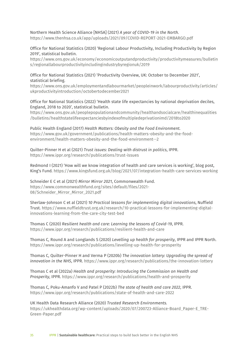Northern Health Science Alliance [NHSA] (2021) *A year of COVID-19 in the North.*  <https://www.thenhsa.co.uk/app/uploads/2021/09/COVID-REPORT-2021-EMBARGO.pdf>

Office for National Statistics (2020) 'Regional Labour Productivity, Including Productivity by Region 2019', statistical bulletin.

[https://www.ons.gov.uk/economy/economicoutputandproductivity/productivitymeasures/bulletin](https://www.ons.gov.uk/economy/economicoutputandproductivity/productivitymeasures/bulletins/regionallabourproductivityincludingindustrybyregionuk/2019) [s/regionallabourproductivityincludingindustrybyregionuk/2019](https://www.ons.gov.uk/economy/economicoutputandproductivity/productivitymeasures/bulletins/regionallabourproductivityincludingindustrybyregionuk/2019)

Office for National Statistics (2021) 'Productivity Overview, UK: October to December 2021', statistical briefing.

[https://www.ons.gov.uk/employmentandlabourmarket/peopleinwork/labourproductivity/articles/](https://www.ons.gov.uk/employmentandlabourmarket/peopleinwork/labourproductivity/articles/ukproductivityintroduction/octobertodecember2021) [ukproductivityintroduction/octobertodecember2021](https://www.ons.gov.uk/employmentandlabourmarket/peopleinwork/labourproductivity/articles/ukproductivityintroduction/octobertodecember2021) 

Office for National Statistics (2022) 'Health state life expectancies by national deprivation deciles, England, 2018 to 2020', statistical bulletin.

[https://www.ons.gov.uk/peoplepopulationandcommunity/healthandsocialcare/healthinequalities](https://www.ons.gov.uk/peoplepopulationandcommunity/healthandsocialcare/healthinequalities/bulletins/healthstatelifeexpectanciesbyindexofmultipledeprivationimd/2018to2020) [/bulletins/healthstatelifeexpectanciesbyindexofmultipledeprivationimd/2018to2020](https://www.ons.gov.uk/peoplepopulationandcommunity/healthandsocialcare/healthinequalities/bulletins/healthstatelifeexpectanciesbyindexofmultipledeprivationimd/2018to2020)

Public Health England (2017) *Health Matters: Obesity and the Food Environment*. [https://www.gov.uk/government/publications/health-matters-obesity-and-the-food](https://www.gov.uk/government/publications/health-matters-obesity-and-the-food-environment/health-matters-obesity-and-the-food-environment--2)[environment/health-matters-obesity-and-the-food-environment--2](https://www.gov.uk/government/publications/health-matters-obesity-and-the-food-environment/health-matters-obesity-and-the-food-environment--2)

#### Quilter-Pinner H et al (2021) *Trust issues: Dealing with distrust in politics*, IPPR. <https://www.ippr.org/research/publications/trust-issues>

Redmond I (2021) 'How will we know integration of health and care services is working', blog post, King's Fund*.* <https://www.kingsfund.org.uk/blog/2021/07/integration-health-care-services-working>

Schneider E C et al (2021) *Mirror Mirror 2021*, Commonwealth Fund. [https://www.commonwealthfund.org/sites/default/files/2021-](https://www.commonwealthfund.org/sites/default/files/2021-08/Schneider_Mirror_Mirror_2021.pdf) [08/Schneider\\_Mirror\\_Mirror\\_2021.pdf](https://www.commonwealthfund.org/sites/default/files/2021-08/Schneider_Mirror_Mirror_2021.pdf)

Sherlaw-Johnson C et al (2021) *10 Practical lessons for implementing digital innovations*, Nuffield Trust. [https://www.nuffieldtrust.org.uk/research/10-practical-lessons-for-implementing-digital](https://www.nuffieldtrust.org.uk/research/10-practical-lessons-for-implementing-digital-innovations-learning-from-the-care-city-test-bed)[innovations-learning-from-the-care-city-test-bed](https://www.nuffieldtrust.org.uk/research/10-practical-lessons-for-implementing-digital-innovations-learning-from-the-care-city-test-bed)

Thomas C (2020) *Resilient health and care: Learning the lessons of Covid-19*, IPPR. <https://www.ippr.org/research/publications/resilient-health-and-care>

Thomas C, Round A and Longlands S (2020) *Levelling up health for prosperity*, IPPR and IPPR North. <https://www.ippr.org/research/publications/levelling-up-health-for-prosperity>

Thomas C, Quilter-Pinner H and Verma P (2020b) *The innovation lottery: Upgrading the spread of innovation in the NHS*, IPPR.<https://www.ippr.org/research/publications/the-innovation-lottery>

Thomas C et al (2022a) *Health and prosperity: Introducing the Commission on Health and Prosperity*, IPPR.<https://www.ippr.org/research/publications/health-and-prosperity>

Thomas C, Poku-Amanfo V and Patel P (2022b) *The state of health and care 2022*, IPPR. <https://www.ippr.org/research/publications/state-of-health-and-care-2022>

UK Health Data Research Alliance (2020) *Trusted Research Environments.*  [https://ukhealthdata.org/wp-content/uploads/2020/07/200723-Alliance-Board\\_Paper-E\\_TRE-](https://ukhealthdata.org/wp-content/uploads/2020/07/200723-Alliance-Board_Paper-E_TRE-Green-Paper.pdf)[Green-Paper.pdf](https://ukhealthdata.org/wp-content/uploads/2020/07/200723-Alliance-Board_Paper-E_TRE-Green-Paper.pdf)